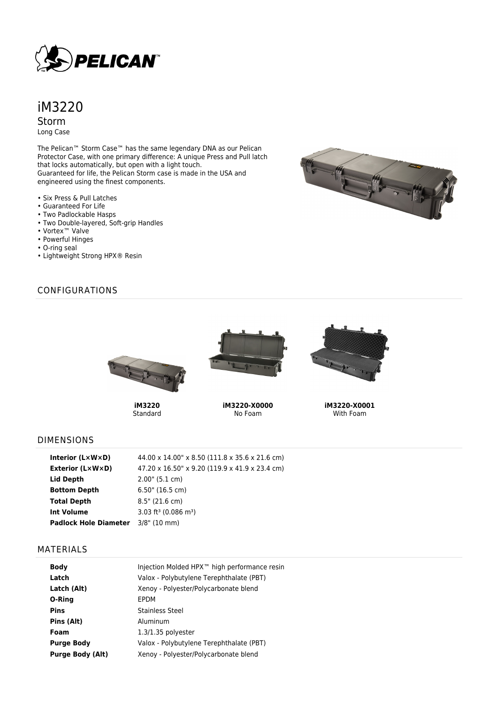

# iM3220 Storm Long Case

The Pelican™ Storm Case™ has the same legendary DNA as our Pelican Protector Case, with one primary difference: A unique Press and Pull latch that locks automatically, but open with a light touch. Guaranteed for life, the Pelican Storm case is made in the USA and engineered using the finest components.

- Six Press & Pull Latches
- Guaranteed For Life
- Two Padlockable Hasps
- Two Double-layered, Soft-grip Handles
- Vortex™ Valve
- Powerful Hinges
- O-ring seal
- Lightweight Strong HPX® Resin



# CONFIGURATIONS



**iM3220** Standard



**iM3220-X0000** No Foam



**iM3220-X0001** With Foam

#### DIMENSIONS

| Interior $(L \times W \times D)$ | 44.00 x 14.00" x 8.50 (111.8 x 35.6 x 21.6 cm) |
|----------------------------------|------------------------------------------------|
| <b>Exterior (L×W×D)</b>          | 47.20 x 16.50" x 9.20 (119.9 x 41.9 x 23.4 cm) |
| Lid Depth                        | $2.00$ " (5.1 cm)                              |
| <b>Bottom Depth</b>              | $6.50$ " (16.5 cm)                             |
| <b>Total Depth</b>               | $8.5$ " (21.6 cm)                              |
| Int Volume                       | 3.03 ft <sup>3</sup> (0.086 m <sup>3</sup> )   |
| <b>Padlock Hole Diameter</b>     | $3/8$ " (10 mm)                                |

### MATERIALS

| <b>Body</b>             | Injection Molded HPX <sup>™</sup> high performance resin |
|-------------------------|----------------------------------------------------------|
| Latch                   | Valox - Polybutylene Terephthalate (PBT)                 |
| Latch (Alt)             | Xenoy - Polyester/Polycarbonate blend                    |
| O-Ring                  | EPDM                                                     |
| <b>Pins</b>             | Stainless Steel                                          |
| Pins (Alt)              | Aluminum                                                 |
| Foam                    | $1.3/1.35$ polyester                                     |
| <b>Purge Body</b>       | Valox - Polybutylene Terephthalate (PBT)                 |
| <b>Purge Body (Alt)</b> | Xenoy - Polyester/Polycarbonate blend                    |
|                         |                                                          |